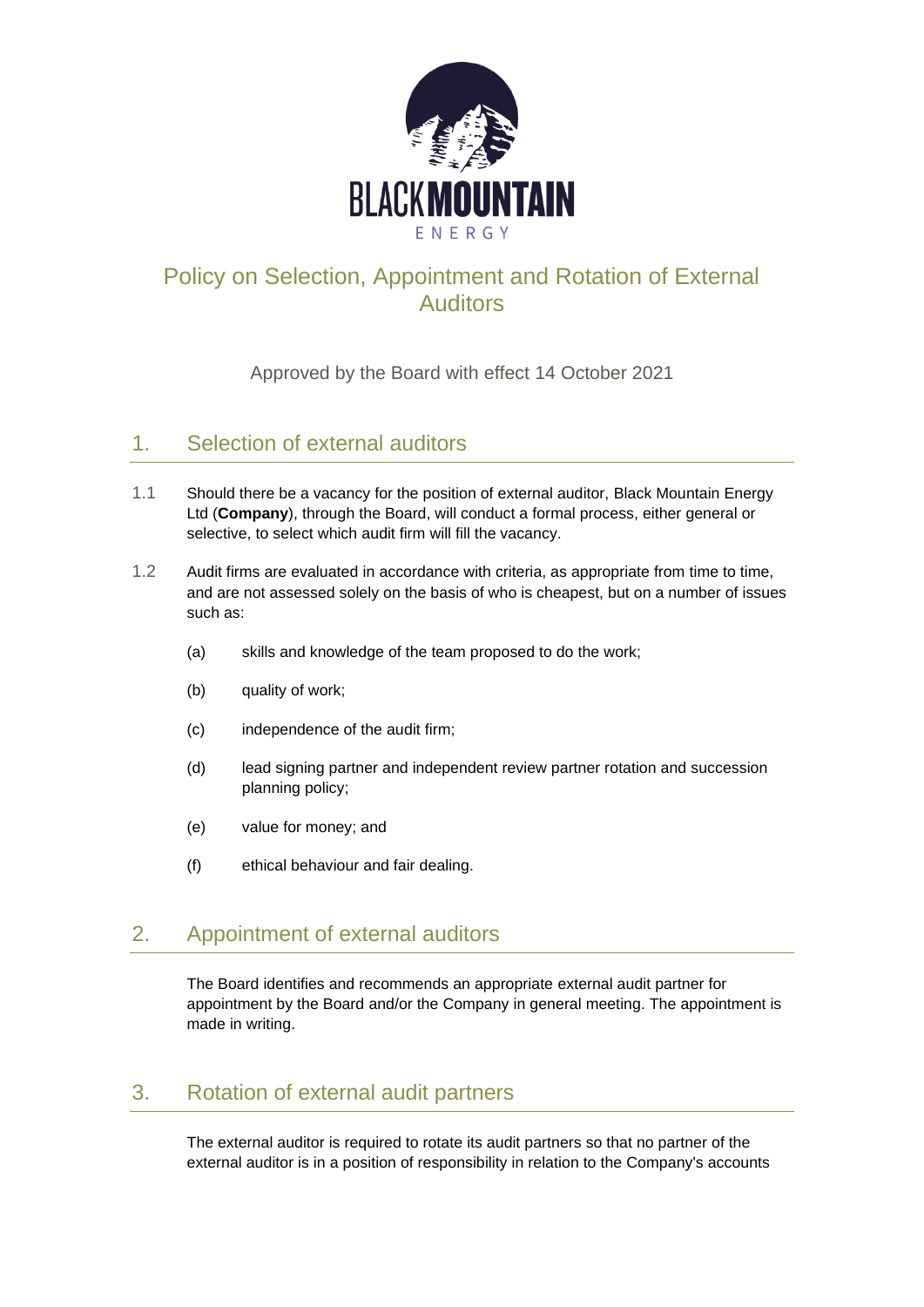

## Policy on Selection, Appointment and Rotation of External Auditors

Approved by the Board with effect 14 October 2021

## 1. Selection of external auditors

- 1.1 Should there be a vacancy for the position of external auditor, Black Mountain Energy Ltd (**Company**), through the Board, will conduct a formal process, either general or selective, to select which audit firm will fill the vacancy.
- 1.2 Audit firms are evaluated in accordance with criteria, as appropriate from time to time, and are not assessed solely on the basis of who is cheapest, but on a number of issues such as:
	- (a) skills and knowledge of the team proposed to do the work;
	- (b) quality of work;
	- (c) independence of the audit firm;
	- (d) lead signing partner and independent review partner rotation and succession planning policy;
	- (e) value for money; and
	- (f) ethical behaviour and fair dealing.

## 2. Appointment of external auditors

The Board identifies and recommends an appropriate external audit partner for appointment by the Board and/or the Company in general meeting. The appointment is made in writing.

## 3. Rotation of external audit partners

The external auditor is required to rotate its audit partners so that no partner of the external auditor is in a position of responsibility in relation to the Company's accounts